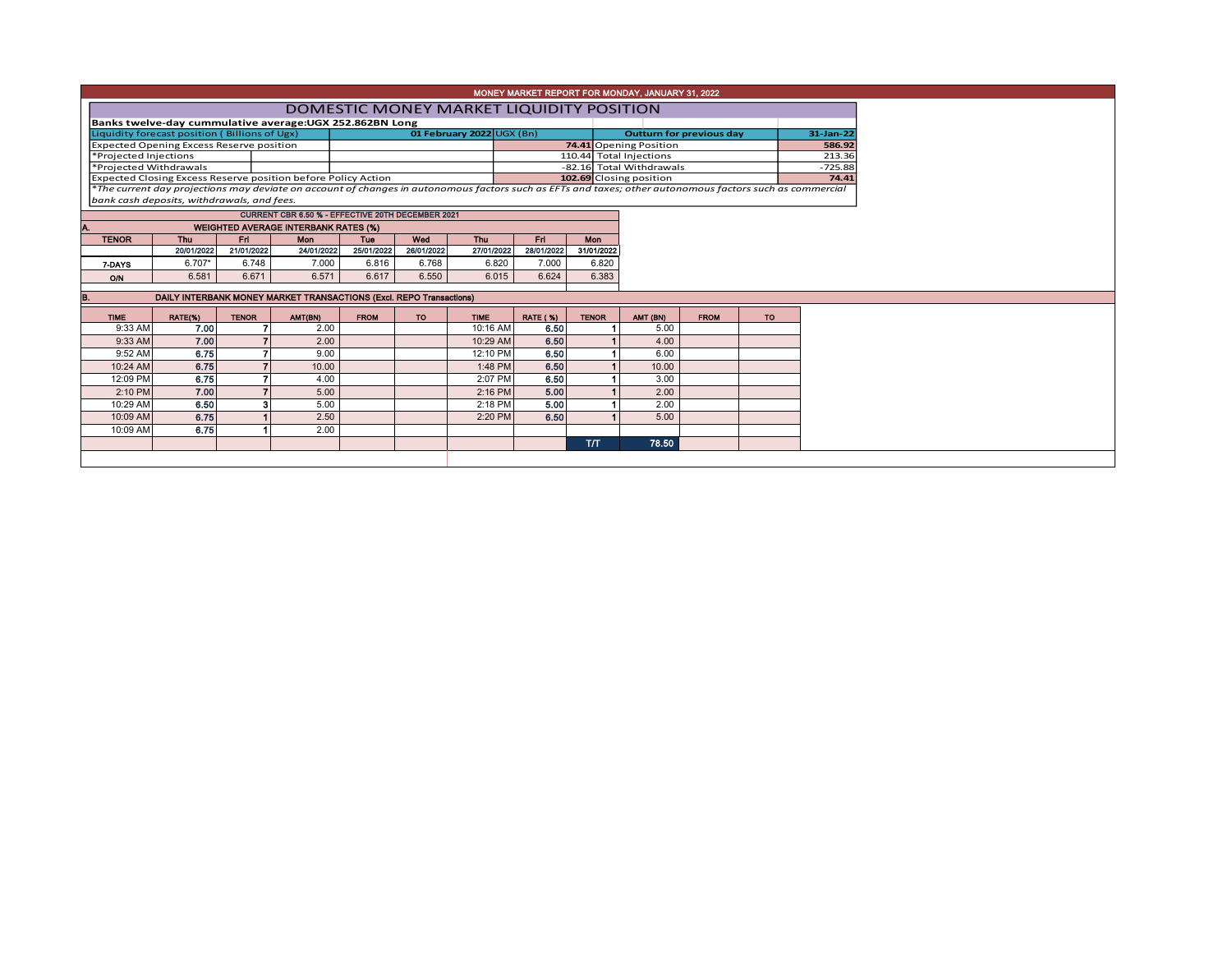| MONEY MARKET REPORT FOR MONDAY, JANUARY 31, 2022                                        |                                                                       |                                                             |                                                   |             |            |                           |                                                                                                                                                                                              |              |                                   |             |           |  |  |  |
|-----------------------------------------------------------------------------------------|-----------------------------------------------------------------------|-------------------------------------------------------------|---------------------------------------------------|-------------|------------|---------------------------|----------------------------------------------------------------------------------------------------------------------------------------------------------------------------------------------|--------------|-----------------------------------|-------------|-----------|--|--|--|
| DOMESTIC MONEY MARKET LIQUIDITY POSITION                                                |                                                                       |                                                             |                                                   |             |            |                           |                                                                                                                                                                                              |              |                                   |             |           |  |  |  |
|                                                                                         | Banks twelve-day cummulative average: UGX 252.862BN Long<br>31-Jan-22 |                                                             |                                                   |             |            |                           |                                                                                                                                                                                              |              |                                   |             |           |  |  |  |
|                                                                                         | Liquidity forecast position (Billions of Ugx)                         |                                                             |                                                   |             |            | 01 February 2022 UGX (Bn) |                                                                                                                                                                                              |              | <b>Outturn for previous day</b>   |             |           |  |  |  |
|                                                                                         | <b>Expected Opening Excess Reserve position</b>                       |                                                             |                                                   |             |            |                           |                                                                                                                                                                                              |              | 74.41 Opening Position<br>586.92  |             |           |  |  |  |
| *Projected Injections                                                                   |                                                                       |                                                             |                                                   |             |            |                           |                                                                                                                                                                                              |              | 213.36<br>110.44 Total Injections |             |           |  |  |  |
| *Projected Withdrawals<br>Expected Closing Excess Reserve position before Policy Action |                                                                       |                                                             |                                                   |             |            |                           | -82.16 Total Withdrawals<br>$-725.88$                                                                                                                                                        |              |                                   |             |           |  |  |  |
|                                                                                         |                                                                       |                                                             |                                                   |             |            |                           | 102.69 Closing position<br>74.41<br>*The current day projections may deviate on account of changes in autonomous factors such as EFTs and taxes; other autonomous factors such as commercial |              |                                   |             |           |  |  |  |
| bank cash deposits, withdrawals, and fees.                                              |                                                                       |                                                             |                                                   |             |            |                           |                                                                                                                                                                                              |              |                                   |             |           |  |  |  |
|                                                                                         |                                                                       |                                                             | CURRENT CBR 6.50 % - EFFECTIVE 20TH DECEMBER 2021 |             |            |                           |                                                                                                                                                                                              |              |                                   |             |           |  |  |  |
| IA.                                                                                     |                                                                       |                                                             | <b>WEIGHTED AVERAGE INTERBANK RATES (%)</b>       |             |            |                           |                                                                                                                                                                                              |              |                                   |             |           |  |  |  |
| <b>TENOR</b>                                                                            | Thu                                                                   | Thu<br>Fri<br>Fri<br>Wed<br><b>Mon</b><br><b>Mon</b><br>Tue |                                                   |             |            |                           |                                                                                                                                                                                              |              |                                   |             |           |  |  |  |
|                                                                                         | 20/01/2022                                                            | 21/01/2022                                                  | 24/01/2022                                        | 25/01/2022  | 26/01/2022 | 27/01/2022                | 28/01/2022                                                                                                                                                                                   | 31/01/2022   |                                   |             |           |  |  |  |
| 7 DAYS                                                                                  | $6.707*$                                                              | 6.748                                                       | 7.000                                             | 6.816       | 6.768      | 6.820                     | 7.000                                                                                                                                                                                        | 6.820        |                                   |             |           |  |  |  |
| O/N                                                                                     | 6.581                                                                 | 6.671                                                       | 6.571                                             | 6.617       | 6.550      | 6.015                     | 6.624                                                                                                                                                                                        | 6.383        |                                   |             |           |  |  |  |
| B.                                                                                      | DAILY INTERBANK MONEY MARKET TRANSACTIONS (Excl. REPO Transactions)   |                                                             |                                                   |             |            |                           |                                                                                                                                                                                              |              |                                   |             |           |  |  |  |
|                                                                                         |                                                                       |                                                             |                                                   |             |            |                           |                                                                                                                                                                                              |              |                                   |             |           |  |  |  |
| <b>TIME</b>                                                                             | RATE(%)                                                               | <b>TENOR</b>                                                | AMT(BN)                                           | <b>FROM</b> | TO:        | <b>TIME</b>               | <b>RATE (%)</b>                                                                                                                                                                              | <b>TENOR</b> | AMT (BN)                          | <b>FROM</b> | <b>TO</b> |  |  |  |
| 9:33 AM                                                                                 | 7.00                                                                  |                                                             | 2.00                                              |             |            | 10:16 AM                  | 6.50                                                                                                                                                                                         |              | 5.00                              |             |           |  |  |  |
| 9:33 AM                                                                                 | 7.00                                                                  |                                                             | 2.00                                              |             |            | 10:29 AM                  | 6.50                                                                                                                                                                                         |              | 4.00                              |             |           |  |  |  |
| 9:52 AM                                                                                 | 6.75                                                                  |                                                             | 9.00                                              |             |            | 12:10 PM                  | 6.50                                                                                                                                                                                         |              | 6.00                              |             |           |  |  |  |
| 10:24 AM                                                                                | 6.75                                                                  | $\overline{7}$                                              | 10.00                                             |             |            | 1:48 PM                   | 6.50                                                                                                                                                                                         |              | 10.00                             |             |           |  |  |  |
| 12:09 PM                                                                                | 6.75                                                                  |                                                             | 4.00                                              |             |            | 2:07 PM                   | 6.50                                                                                                                                                                                         |              | 3.00                              |             |           |  |  |  |
| 2:10 PM                                                                                 | 7.00                                                                  |                                                             | 5.00                                              |             |            | $2:16$ PM                 | 5.00                                                                                                                                                                                         |              | 2.00                              |             |           |  |  |  |
| 10:29 AM                                                                                | 6.50                                                                  | 3                                                           | 5.00                                              |             |            | 2:18 PM                   | 5.00                                                                                                                                                                                         |              | 2.00                              |             |           |  |  |  |
| 10:09 AM                                                                                | 6.75                                                                  |                                                             | 2.50                                              |             |            | 2:20 PM                   | 6.50                                                                                                                                                                                         |              | 5.00                              |             |           |  |  |  |
| 10:09 AM                                                                                | 6.75                                                                  |                                                             | 2.00                                              |             |            |                           |                                                                                                                                                                                              |              |                                   |             |           |  |  |  |
|                                                                                         |                                                                       |                                                             |                                                   |             |            |                           |                                                                                                                                                                                              | <b>T/T</b>   | 78.50                             |             |           |  |  |  |
|                                                                                         |                                                                       |                                                             |                                                   |             |            |                           |                                                                                                                                                                                              |              |                                   |             |           |  |  |  |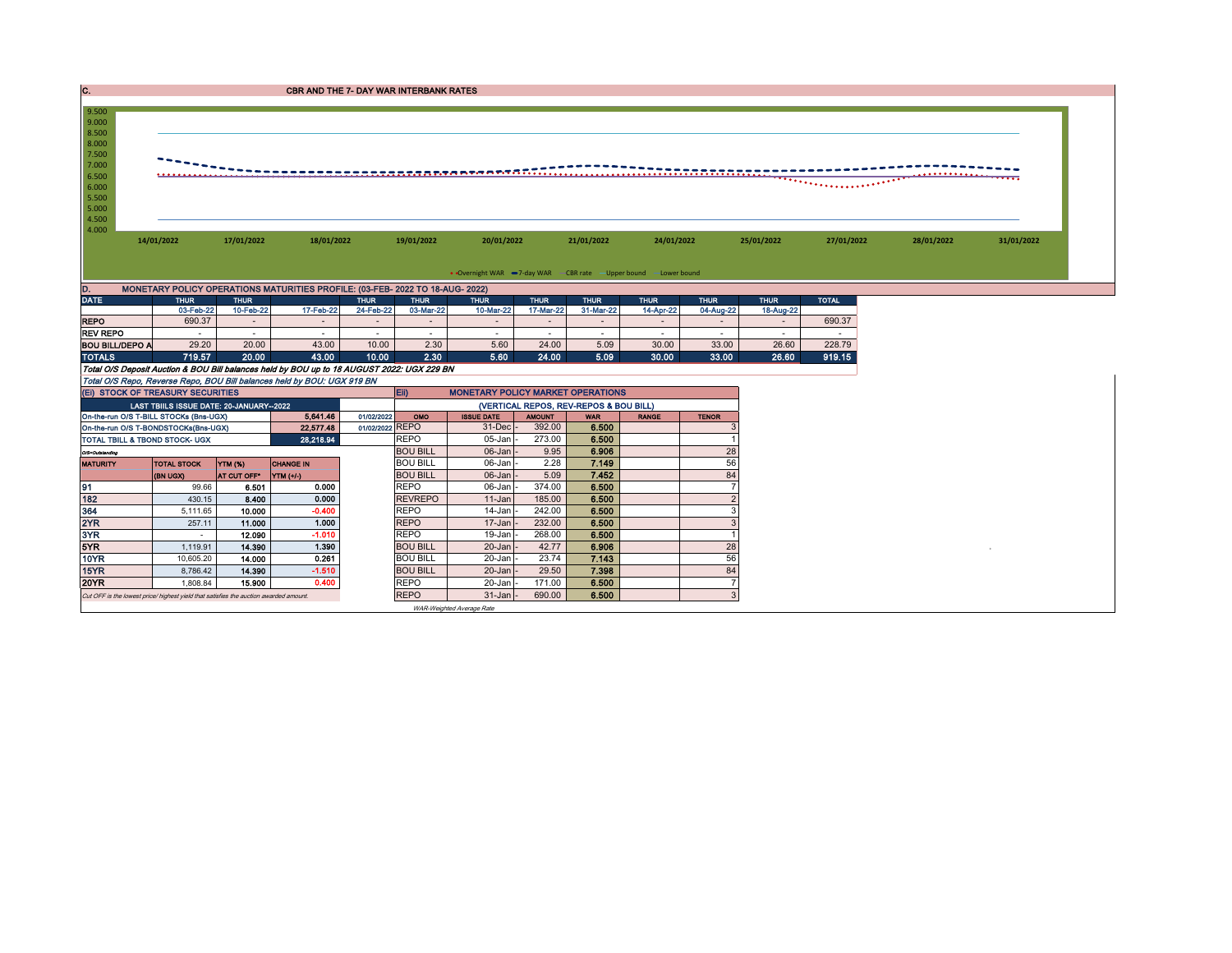| IC.                                                              | <b>CBR AND THE 7- DAY WAR INTERBANK RATES</b>                                                        |                      |                        |                 |                                        |                                                                 |                  |                |              |              |             |              |            |            |
|------------------------------------------------------------------|------------------------------------------------------------------------------------------------------|----------------------|------------------------|-----------------|----------------------------------------|-----------------------------------------------------------------|------------------|----------------|--------------|--------------|-------------|--------------|------------|------------|
| 9.500                                                            |                                                                                                      |                      |                        |                 |                                        |                                                                 |                  |                |              |              |             |              |            |            |
| 9.000                                                            |                                                                                                      |                      |                        |                 |                                        |                                                                 |                  |                |              |              |             |              |            |            |
| 8.500<br>8.000                                                   |                                                                                                      |                      |                        |                 |                                        |                                                                 |                  |                |              |              |             |              |            |            |
| 7.500                                                            |                                                                                                      |                      |                        |                 |                                        |                                                                 |                  |                |              |              |             |              |            |            |
| 7.000                                                            |                                                                                                      |                      |                        |                 |                                        |                                                                 |                  |                |              |              |             |              |            |            |
| 6.500<br>6.000                                                   |                                                                                                      |                      |                        |                 |                                        |                                                                 |                  |                |              |              |             |              |            |            |
| 5.500                                                            |                                                                                                      |                      |                        |                 |                                        |                                                                 |                  |                |              |              |             |              |            |            |
| 5.000                                                            |                                                                                                      |                      |                        |                 |                                        |                                                                 |                  |                |              |              |             |              |            |            |
| 4.500<br>4.000                                                   |                                                                                                      |                      |                        |                 |                                        |                                                                 |                  |                |              |              |             |              |            |            |
|                                                                  | 14/01/2022                                                                                           | 17/01/2022           | 18/01/2022             |                 | 19/01/2022                             | 20/01/2022                                                      |                  | 21/01/2022     | 24/01/2022   |              | 25/01/2022  | 27/01/2022   | 28/01/2022 | 31/01/2022 |
|                                                                  |                                                                                                      |                      |                        |                 |                                        |                                                                 |                  |                |              |              |             |              |            |            |
|                                                                  |                                                                                                      |                      |                        |                 |                                        | • Overnight WAR -7-day WAR - CBR rate -Upper bound -Lower bound |                  |                |              |              |             |              |            |            |
|                                                                  |                                                                                                      |                      |                        |                 |                                        |                                                                 |                  |                |              |              |             |              |            |            |
| D.<br><b>DATE</b>                                                | MONETARY POLICY OPERATIONS MATURITIES PROFILE: (03-FEB- 2022 TO 18-AUG- 2022)<br><b>THUR</b>         | <b>THUR</b>          |                        | <b>THUR</b>     | <b>THUR</b>                            | <b>THUR</b>                                                     | <b>THUR</b>      | <b>THUR</b>    | <b>THUR</b>  | <b>THUR</b>  | <b>THUR</b> | <b>TOTAL</b> |            |            |
|                                                                  | 03-Feb-22                                                                                            | 10-Feb-22            | 17-Feb-22              | 24-Feb-22       | 03-Mar-22                              | 10-Mar-22                                                       | 17-Mar-22        | 31-Mar-22      | 14-Apr-22    | 04-Aug-22    | 18-Aug-22   |              |            |            |
| <b>REPO</b>                                                      | 690.37                                                                                               | $\sim$               | $\sim$                 | $\sim$          | $\sim$                                 | $\sim$                                                          | $\sim$           | $\sim$         | $\sim$       | $\sim$       | $\sim$      | 690.37       |            |            |
| <b>REV REPO</b>                                                  | $\sim$                                                                                               | $\sim$               | $\sim$                 | $\sim$          | $\sim$                                 | $\sim$                                                          | $\sim$           | $\sim$         | $\sim$       | $\sim$       | $\sim$      | $\sim$       |            |            |
| <b>BOU BILL/DEPO A</b>                                           | 29.20                                                                                                | 20.00                | 43.00                  | 10.00           | 2.30                                   | 5.60                                                            | 24.00            | 5.09           | 30.00        | 33.00        | 26.60       | 228.79       |            |            |
| <b>TOTALS</b>                                                    | 719.57<br>Total O/S Deposit Auction & BOU Bill balances held by BOU up to 18 AUGUST 2022: UGX 229 BN | 20.00                | 43.00                  | 10.00           | 2.30                                   | 5.60                                                            | 24.00            | 5.09           | 30.00        | 33.00        | 26.60       | 919.15       |            |            |
|                                                                  | Total O/S Repo, Reverse Repo, BOU Bill balances held by BOU: UGX 919 BN                              |                      |                        |                 |                                        |                                                                 |                  |                |              |              |             |              |            |            |
|                                                                  | (EI) STOCK OF TREASURY SECURITIES                                                                    |                      |                        |                 | Eii)                                   | <b>MONETARY POLICY MARKET OPERATIONS</b>                        |                  |                |              |              |             |              |            |            |
|                                                                  | LAST TBIILS ISSUE DATE: 20-JANUARY-2022                                                              |                      |                        |                 | (VERTICAL REPOS, REV-REPOS & BOU BILL) |                                                                 |                  |                |              |              |             |              |            |            |
| 5,641.46<br>01/02/2022<br>On-the-run O/S T-BILL STOCKs (Bns-UGX) |                                                                                                      |                      |                        |                 | OMO                                    | <b>ISSUE DATE</b>                                               | <b>AMOUNT</b>    | <b>WAR</b>     | <b>RANGE</b> | <b>TENOR</b> |             |              |            |            |
|                                                                  | On-the-run O/S T-BONDSTOCKs(Bns-UGX)<br>TOTAL TBILL & TBOND STOCK- UGX                               |                      | 22,577.48<br>28,218.94 | 01/02/2022 REPO | <b>REPO</b>                            | 31-Dec<br>05-Jan                                                | 392.00<br>273.00 | 6.500<br>6.500 |              |              |             |              |            |            |
| O/S=Outstanding                                                  |                                                                                                      |                      |                        |                 | <b>BOU BILL</b>                        | 06-Jan                                                          | 9.95             | 6.906          |              | 28           |             |              |            |            |
| <b>MATURITY</b>                                                  | <b>TOTAL STOCK</b>                                                                                   | YTM (%)              | <b>CHANGE IN</b>       |                 | <b>BOU BILL</b>                        | 06-Jan                                                          | 2.28             | 7.149          |              | 56           |             |              |            |            |
|                                                                  | (BN UGX)                                                                                             | AT CUT OFF YTM (+/-) |                        |                 | <b>BOU BILL</b>                        | 06-Jan                                                          | 5.09             | 7.452          |              | 84           |             |              |            |            |
| 91                                                               | 99.66                                                                                                | 6.501                | 0.000                  |                 | <b>REPO</b>                            | 06-Jan                                                          | 374.00           | 6.500          |              |              |             |              |            |            |
| 182                                                              | 430.15                                                                                               | 8.400                | 0.000                  |                 | <b>REVREPO</b>                         | 11-Jan                                                          | 185.00           | 6.500          |              |              |             |              |            |            |
| 364<br>2YR                                                       | 5,111.65<br>257.11                                                                                   | 10.000<br>11.000     | $-0.400$<br>1.000      |                 | <b>REPO</b><br><b>REPO</b>             | 14-Jan<br>17-Jan                                                | 242.00<br>232.00 | 6.500<br>6.500 |              |              |             |              |            |            |
| 3YR                                                              |                                                                                                      | 12.090               | $-1.010$               |                 | <b>REPO</b>                            | 19-Jan                                                          | 268.00           | 6.500          |              |              |             |              |            |            |
| 5YR                                                              | 1,119.91                                                                                             | 14.390               | 1.390                  |                 | <b>BOU BILL</b>                        | 20-Jan                                                          | 42.77            | 6.906          |              | 28           |             |              |            |            |
| 10YR                                                             | 10,605.20                                                                                            | 14.000               | 0.261                  |                 | <b>BOU BILL</b>                        | 20-Jan                                                          | 23.74            | 7.143          |              | 56           |             |              |            |            |
| 15YR                                                             | 8,786.42                                                                                             | 14.390               | $-1.510$               |                 | <b>BOU BILL</b>                        | 20-Jan                                                          | 29.50            | 7.398          |              | 84           |             |              |            |            |
| <b>20YR</b>                                                      | 1,808.84                                                                                             | 15,900               | 0.400                  |                 | <b>REPO</b>                            | 20-Jan                                                          | 171.00           | 6.500          |              |              |             |              |            |            |
|                                                                  | Cut OFF is the lowest price/ highest yield that satisfies the auction awarded amount.                |                      |                        |                 | <b>REPO</b>                            | 31-Jan                                                          | 690.00           | 6.500          |              |              |             |              |            |            |

WAR-Weighted Average Rate